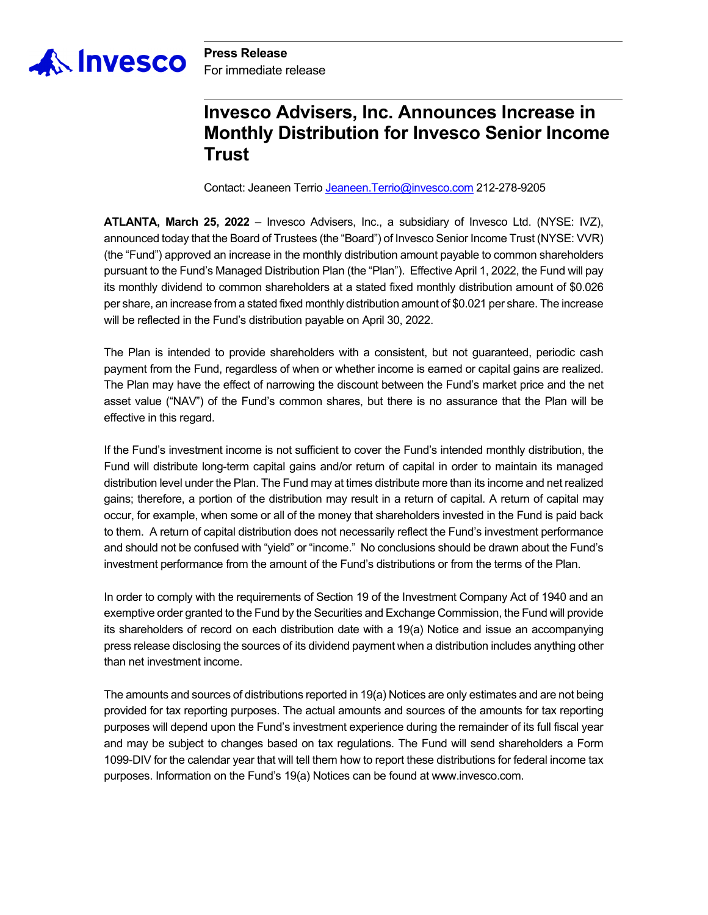

**Press Release** For immediate release

## **Invesco Advisers, Inc. Announces Increase in Monthly Distribution for Invesco Senior Income Trust**

Contact: Jeaneen Terrio Jeaneen.Terrio@invesco.com 212-278-9205

**ATLANTA, March 25, 2022** – Invesco Advisers, Inc., a subsidiary of Invesco Ltd. (NYSE: IVZ), announced today that the Board of Trustees (the "Board") of Invesco Senior Income Trust (NYSE: VVR) (the "Fund") approved an increase in the monthly distribution amount payable to common shareholders pursuant to the Fund's Managed Distribution Plan (the "Plan"). Effective April 1, 2022, the Fund will pay its monthly dividend to common shareholders at a stated fixed monthly distribution amount of \$0.026 per share, an increase from a stated fixed monthly distribution amount of \$0.021 per share. The increase will be reflected in the Fund's distribution payable on April 30, 2022.

The Plan is intended to provide shareholders with a consistent, but not guaranteed, periodic cash payment from the Fund, regardless of when or whether income is earned or capital gains are realized. The Plan may have the effect of narrowing the discount between the Fund's market price and the net asset value ("NAV") of the Fund's common shares, but there is no assurance that the Plan will be effective in this regard.

If the Fund's investment income is not sufficient to cover the Fund's intended monthly distribution, the Fund will distribute long-term capital gains and/or return of capital in order to maintain its managed distribution level under the Plan. The Fund may at times distribute more than its income and net realized gains; therefore, a portion of the distribution may result in a return of capital. A return of capital may occur, for example, when some or all of the money that shareholders invested in the Fund is paid back to them. A return of capital distribution does not necessarily reflect the Fund's investment performance and should not be confused with "yield" or "income." No conclusions should be drawn about the Fund's investment performance from the amount of the Fund's distributions or from the terms of the Plan.

In order to comply with the requirements of Section 19 of the Investment Company Act of 1940 and an exemptive order granted to the Fund by the Securities and Exchange Commission, the Fund will provide its shareholders of record on each distribution date with a 19(a) Notice and issue an accompanying press release disclosing the sources of its dividend payment when a distribution includes anything other than net investment income.

The amounts and sources of distributions reported in 19(a) Notices are only estimates and are not being provided for tax reporting purposes. The actual amounts and sources of the amounts for tax reporting purposes will depend upon the Fund's investment experience during the remainder of its full fiscal year and may be subject to changes based on tax regulations. The Fund will send shareholders a Form 1099-DIV for the calendar year that will tell them how to report these distributions for federal income tax purposes. Information on the Fund's 19(a) Notices can be found at www.invesco.com.